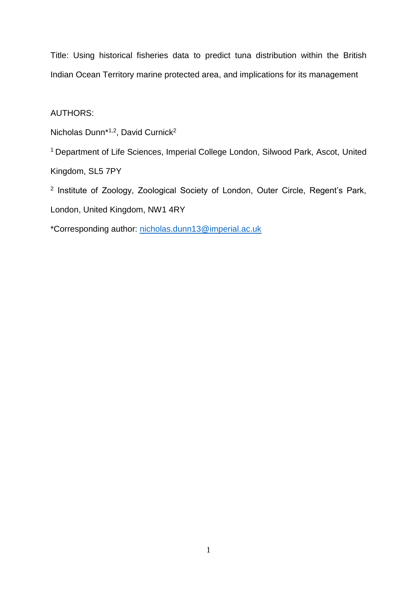Title: Using historical fisheries data to predict tuna distribution within the British Indian Ocean Territory marine protected area, and implications for its management

# AUTHORS:

Nicholas Dunn\* 1,2, David Curnick<sup>2</sup>

<sup>1</sup> Department of Life Sciences, Imperial College London, Silwood Park, Ascot, United Kingdom, SL5 7PY

2 Institute of Zoology, Zoological Society of London, Outer Circle, Regent's Park, London, United Kingdom, NW1 4RY

\*Corresponding author: [nicholas.dunn13@imperial.ac.uk](mailto:david.curnick@zsl.org)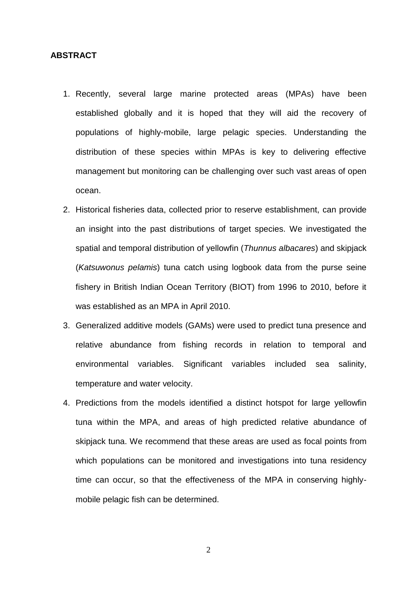#### **ABSTRACT**

- 1. Recently, several large marine protected areas (MPAs) have been established globally and it is hoped that they will aid the recovery of populations of highly-mobile, large pelagic species. Understanding the distribution of these species within MPAs is key to delivering effective management but monitoring can be challenging over such vast areas of open ocean.
- 2. Historical fisheries data, collected prior to reserve establishment, can provide an insight into the past distributions of target species. We investigated the spatial and temporal distribution of yellowfin (*Thunnus albacares*) and skipjack (*Katsuwonus pelamis*) tuna catch using logbook data from the purse seine fishery in British Indian Ocean Territory (BIOT) from 1996 to 2010, before it was established as an MPA in April 2010.
- 3. Generalized additive models (GAMs) were used to predict tuna presence and relative abundance from fishing records in relation to temporal and environmental variables. Significant variables included sea salinity, temperature and water velocity.
- 4. Predictions from the models identified a distinct hotspot for large yellowfin tuna within the MPA, and areas of high predicted relative abundance of skipjack tuna. We recommend that these areas are used as focal points from which populations can be monitored and investigations into tuna residency time can occur, so that the effectiveness of the MPA in conserving highlymobile pelagic fish can be determined.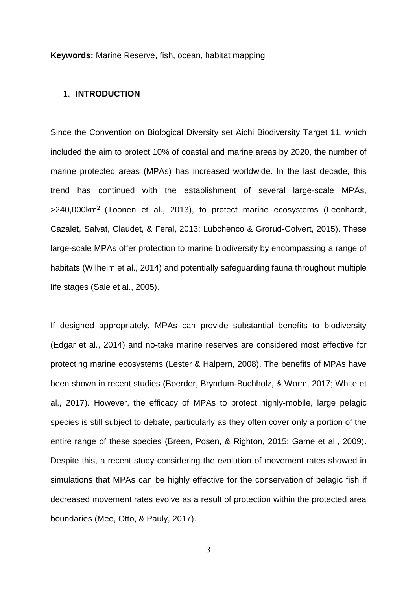**Keywords:** Marine Reserve, fish, ocean, habitat mapping

#### 1. **INTRODUCTION**

Since the Convention on Biological Diversity set Aichi Biodiversity Target 11, which included the aim to protect 10% of coastal and marine areas by 2020, the number of marine protected areas (MPAs) has increased worldwide. In the last decade, this trend has continued with the establishment of several large-scale MPAs, >240,000km<sup>2</sup>(Toonen et al., 2013), to protect marine ecosystems (Leenhardt, Cazalet, Salvat, Claudet, & Feral, 2013; Lubchenco & Grorud-Colvert, 2015). These large-scale MPAs offer protection to marine biodiversity by encompassing a range of habitats (Wilhelm et al., 2014) and potentially safeguarding fauna throughout multiple life stages (Sale et al., 2005).

If designed appropriately, MPAs can provide substantial benefits to biodiversity (Edgar et al., 2014) and no-take marine reserves are considered most effective for protecting marine ecosystems (Lester & Halpern, 2008). The benefits of MPAs have been shown in recent studies (Boerder, Bryndum-Buchholz, & Worm, 2017; White et al., 2017). However, the efficacy of MPAs to protect highly-mobile, large pelagic species is still subject to debate, particularly as they often cover only a portion of the entire range of these species (Breen, Posen, & Righton, 2015; Game et al., 2009). Despite this, a recent study considering the evolution of movement rates showed in simulations that MPAs can be highly effective for the conservation of pelagic fish if decreased movement rates evolve as a result of protection within the protected area boundaries (Mee, Otto, & Pauly, 2017).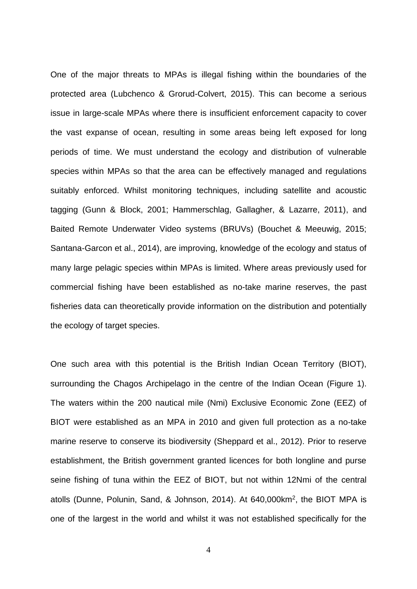One of the major threats to MPAs is illegal fishing within the boundaries of the protected area (Lubchenco & Grorud-Colvert, 2015). This can become a serious issue in large-scale MPAs where there is insufficient enforcement capacity to cover the vast expanse of ocean, resulting in some areas being left exposed for long periods of time. We must understand the ecology and distribution of vulnerable species within MPAs so that the area can be effectively managed and regulations suitably enforced. Whilst monitoring techniques, including satellite and acoustic tagging (Gunn & Block, 2001; Hammerschlag, Gallagher, & Lazarre, 2011), and Baited Remote Underwater Video systems (BRUVs) (Bouchet & Meeuwig, 2015; Santana-Garcon et al., 2014), are improving, knowledge of the ecology and status of many large pelagic species within MPAs is limited. Where areas previously used for commercial fishing have been established as no-take marine reserves, the past fisheries data can theoretically provide information on the distribution and potentially the ecology of target species.

One such area with this potential is the British Indian Ocean Territory (BIOT), surrounding the Chagos Archipelago in the centre of the Indian Ocean (Figure 1). The waters within the 200 nautical mile (Nmi) Exclusive Economic Zone (EEZ) of BIOT were established as an MPA in 2010 and given full protection as a no-take marine reserve to conserve its biodiversity (Sheppard et al., 2012). Prior to reserve establishment, the British government granted licences for both longline and purse seine fishing of tuna within the EEZ of BIOT, but not within 12Nmi of the central atolls (Dunne, Polunin, Sand, & Johnson, 2014). At 640,000km<sup>2</sup> , the BIOT MPA is one of the largest in the world and whilst it was not established specifically for the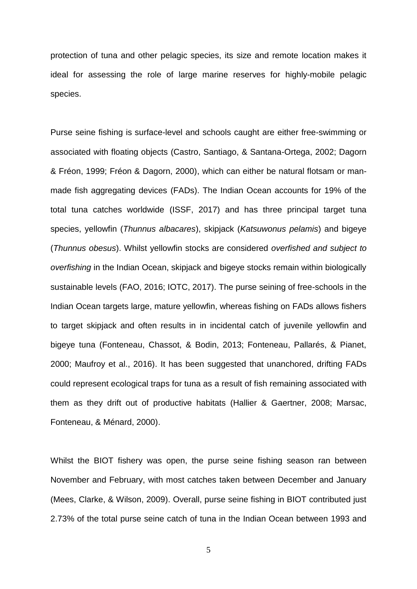protection of tuna and other pelagic species, its size and remote location makes it ideal for assessing the role of large marine reserves for highly-mobile pelagic species.

Purse seine fishing is surface-level and schools caught are either free-swimming or associated with floating objects (Castro, Santiago, & Santana-Ortega, 2002; Dagorn & Fréon, 1999; Fréon & Dagorn, 2000), which can either be natural flotsam or manmade fish aggregating devices (FADs). The Indian Ocean accounts for 19% of the total tuna catches worldwide (ISSF, 2017) and has three principal target tuna species, yellowfin (*Thunnus albacares*), skipjack (*Katsuwonus pelamis*) and bigeye (*Thunnus obesus*). Whilst yellowfin stocks are considered *overfished and subject to overfishing* in the Indian Ocean, skipjack and bigeye stocks remain within biologically sustainable levels (FAO, 2016; IOTC, 2017). The purse seining of free-schools in the Indian Ocean targets large, mature yellowfin, whereas fishing on FADs allows fishers to target skipjack and often results in in incidental catch of juvenile yellowfin and bigeye tuna (Fonteneau, Chassot, & Bodin, 2013; Fonteneau, Pallarés, & Pianet, 2000; Maufroy et al., 2016). It has been suggested that unanchored, drifting FADs could represent ecological traps for tuna as a result of fish remaining associated with them as they drift out of productive habitats (Hallier & Gaertner, 2008; Marsac, Fonteneau, & Ménard, 2000).

Whilst the BIOT fishery was open, the purse seine fishing season ran between November and February, with most catches taken between December and January (Mees, Clarke, & Wilson, 2009). Overall, purse seine fishing in BIOT contributed just 2.73% of the total purse seine catch of tuna in the Indian Ocean between 1993 and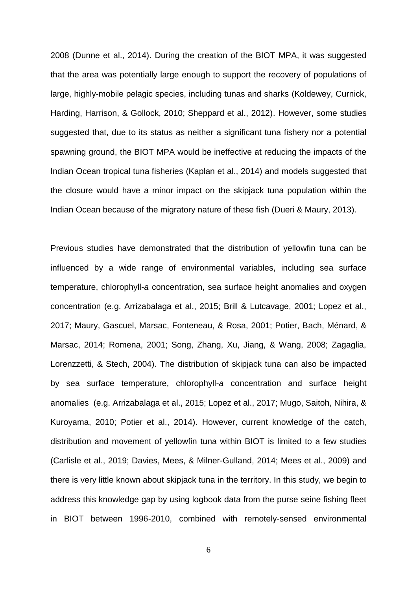2008 (Dunne et al., 2014). During the creation of the BIOT MPA, it was suggested that the area was potentially large enough to support the recovery of populations of large, highly-mobile pelagic species, including tunas and sharks (Koldewey, Curnick, Harding, Harrison, & Gollock, 2010; Sheppard et al., 2012). However, some studies suggested that, due to its status as neither a significant tuna fishery nor a potential spawning ground, the BIOT MPA would be ineffective at reducing the impacts of the Indian Ocean tropical tuna fisheries (Kaplan et al., 2014) and models suggested that the closure would have a minor impact on the skipjack tuna population within the Indian Ocean because of the migratory nature of these fish (Dueri & Maury, 2013).

Previous studies have demonstrated that the distribution of yellowfin tuna can be influenced by a wide range of environmental variables, including sea surface temperature, chlorophyll-*a* concentration, sea surface height anomalies and oxygen concentration (e.g. Arrizabalaga et al., 2015; Brill & Lutcavage, 2001; Lopez et al., 2017; Maury, Gascuel, Marsac, Fonteneau, & Rosa, 2001; Potier, Bach, Ménard, & Marsac, 2014; Romena, 2001; Song, Zhang, Xu, Jiang, & Wang, 2008; Zagaglia, Lorenzzetti, & Stech, 2004). The distribution of skipjack tuna can also be impacted by sea surface temperature, chlorophyll-*a* concentration and surface height anomalies (e.g. Arrizabalaga et al., 2015; Lopez et al., 2017; Mugo, Saitoh, Nihira, & Kuroyama, 2010; Potier et al., 2014). However, current knowledge of the catch, distribution and movement of yellowfin tuna within BIOT is limited to a few studies (Carlisle et al., 2019; Davies, Mees, & Milner-Gulland, 2014; Mees et al., 2009) and there is very little known about skipjack tuna in the territory. In this study, we begin to address this knowledge gap by using logbook data from the purse seine fishing fleet in BIOT between 1996-2010, combined with remotely-sensed environmental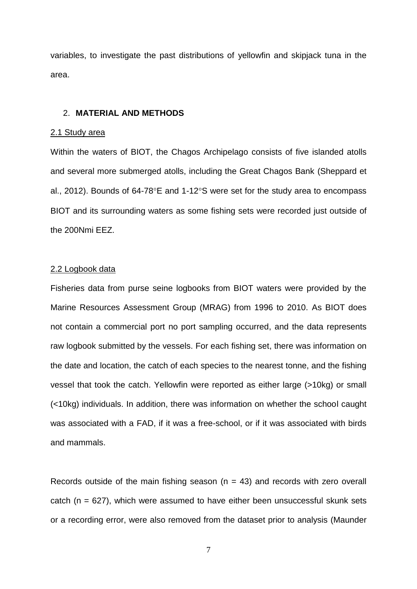variables, to investigate the past distributions of yellowfin and skipjack tuna in the area.

# 2. **MATERIAL AND METHODS**

#### 2.1 Study area

Within the waters of BIOT, the Chagos Archipelago consists of five islanded atolls and several more submerged atolls, including the Great Chagos Bank (Sheppard et al., 2012). Bounds of 64-78 $^{\circ}$ E and 1-12 $^{\circ}$ S were set for the study area to encompass BIOT and its surrounding waters as some fishing sets were recorded just outside of the 200Nmi EEZ.

#### 2.2 Logbook data

Fisheries data from purse seine logbooks from BIOT waters were provided by the Marine Resources Assessment Group (MRAG) from 1996 to 2010. As BIOT does not contain a commercial port no port sampling occurred, and the data represents raw logbook submitted by the vessels. For each fishing set, there was information on the date and location, the catch of each species to the nearest tonne, and the fishing vessel that took the catch. Yellowfin were reported as either large (>10kg) or small (<10kg) individuals. In addition, there was information on whether the school caught was associated with a FAD, if it was a free-school, or if it was associated with birds and mammals.

Records outside of the main fishing season ( $n = 43$ ) and records with zero overall catch ( $n = 627$ ), which were assumed to have either been unsuccessful skunk sets or a recording error, were also removed from the dataset prior to analysis (Maunder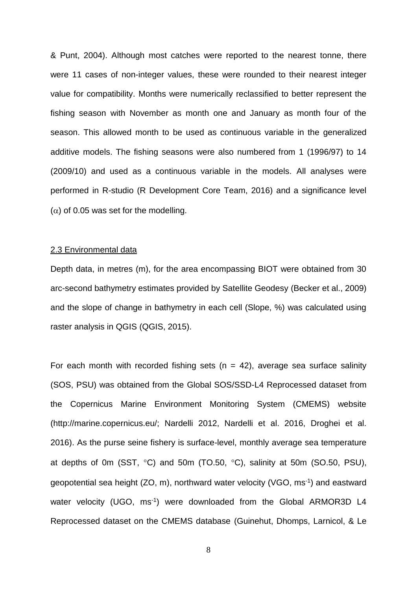& Punt, 2004). Although most catches were reported to the nearest tonne, there were 11 cases of non-integer values, these were rounded to their nearest integer value for compatibility. Months were numerically reclassified to better represent the fishing season with November as month one and January as month four of the season. This allowed month to be used as continuous variable in the generalized additive models. The fishing seasons were also numbered from 1 (1996/97) to 14 (2009/10) and used as a continuous variable in the models. All analyses were performed in R-studio (R Development Core Team, 2016) and a significance level  $(\alpha)$  of 0.05 was set for the modelling.

# 2.3 Environmental data

Depth data, in metres (m), for the area encompassing BIOT were obtained from 30 arc-second bathymetry estimates provided by Satellite Geodesy (Becker et al., 2009) and the slope of change in bathymetry in each cell (Slope, %) was calculated using raster analysis in QGIS (QGIS, 2015).

For each month with recorded fishing sets ( $n = 42$ ), average sea surface salinity (SOS, PSU) was obtained from the Global SOS/SSD-L4 Reprocessed dataset from the Copernicus Marine Environment Monitoring System (CMEMS) website (http://marine.copernicus.eu/; Nardelli 2012, Nardelli et al. 2016, Droghei et al. 2016). As the purse seine fishery is surface-level, monthly average sea temperature at depths of 0m (SST,  $\degree$ C) and 50m (TO.50,  $\degree$ C), salinity at 50m (SO.50, PSU), geopotential sea height (ZO, m), northward water velocity (VGO, ms<sup>-1</sup>) and eastward water velocity (UGO, ms<sup>-1</sup>) were downloaded from the Global ARMOR3D L4 Reprocessed dataset on the CMEMS database (Guinehut, Dhomps, Larnicol, & Le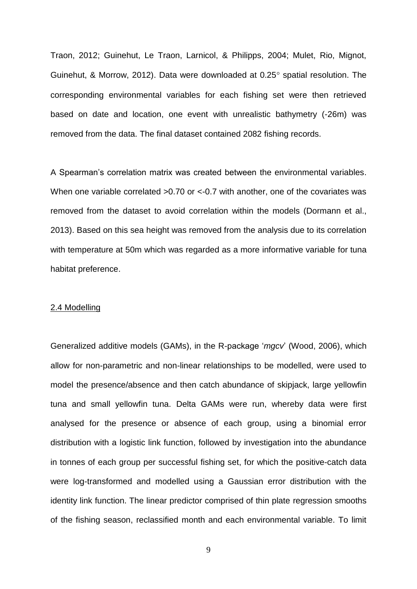Traon, 2012; Guinehut, Le Traon, Larnicol, & Philipps, 2004; Mulet, Rio, Mignot, Guinehut, & Morrow, 2012). Data were downloaded at  $0.25^\circ$  spatial resolution. The corresponding environmental variables for each fishing set were then retrieved based on date and location, one event with unrealistic bathymetry (-26m) was removed from the data. The final dataset contained 2082 fishing records.

A Spearman's correlation matrix was created between the environmental variables. When one variable correlated > 0.70 or < -0.7 with another, one of the covariates was removed from the dataset to avoid correlation within the models (Dormann et al., 2013). Based on this sea height was removed from the analysis due to its correlation with temperature at 50m which was regarded as a more informative variable for tuna habitat preference.

#### 2.4 Modelling

Generalized additive models (GAMs), in the R-package '*mgcv*' (Wood, 2006), which allow for non-parametric and non-linear relationships to be modelled, were used to model the presence/absence and then catch abundance of skipjack, large yellowfin tuna and small yellowfin tuna. Delta GAMs were run, whereby data were first analysed for the presence or absence of each group, using a binomial error distribution with a logistic link function, followed by investigation into the abundance in tonnes of each group per successful fishing set, for which the positive-catch data were log-transformed and modelled using a Gaussian error distribution with the identity link function. The linear predictor comprised of thin plate regression smooths of the fishing season, reclassified month and each environmental variable. To limit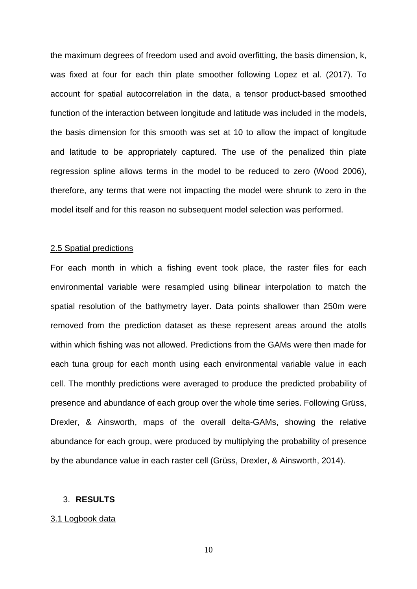the maximum degrees of freedom used and avoid overfitting, the basis dimension, k, was fixed at four for each thin plate smoother following Lopez et al. (2017). To account for spatial autocorrelation in the data, a tensor product-based smoothed function of the interaction between longitude and latitude was included in the models, the basis dimension for this smooth was set at 10 to allow the impact of longitude and latitude to be appropriately captured. The use of the penalized thin plate regression spline allows terms in the model to be reduced to zero (Wood 2006), therefore, any terms that were not impacting the model were shrunk to zero in the model itself and for this reason no subsequent model selection was performed.

### 2.5 Spatial predictions

For each month in which a fishing event took place, the raster files for each environmental variable were resampled using bilinear interpolation to match the spatial resolution of the bathymetry layer. Data points shallower than 250m were removed from the prediction dataset as these represent areas around the atolls within which fishing was not allowed. Predictions from the GAMs were then made for each tuna group for each month using each environmental variable value in each cell. The monthly predictions were averaged to produce the predicted probability of presence and abundance of each group over the whole time series. Following Grüss, Drexler, & Ainsworth, maps of the overall delta-GAMs, showing the relative abundance for each group, were produced by multiplying the probability of presence by the abundance value in each raster cell (Grüss, Drexler, & Ainsworth, 2014).

## 3. **RESULTS**

#### 3.1 Logbook data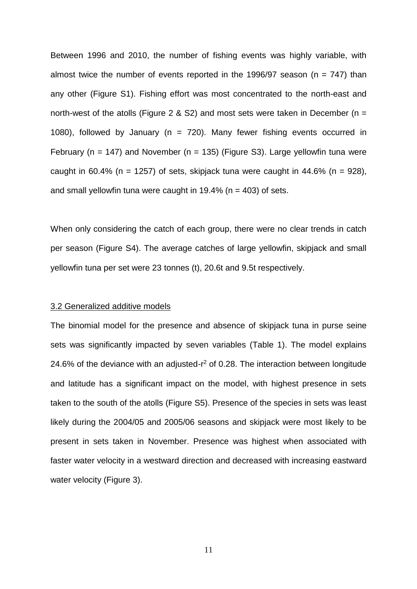Between 1996 and 2010, the number of fishing events was highly variable, with almost twice the number of events reported in the 1996/97 season ( $n = 747$ ) than any other (Figure S1). Fishing effort was most concentrated to the north-east and north-west of the atolls (Figure 2 & S2) and most sets were taken in December ( $n =$ 1080), followed by January ( $n = 720$ ). Many fewer fishing events occurred in February (n = 147) and November (n = 135) (Figure S3). Large yellowfin tuna were caught in 60.4% (n = 1257) of sets, skipjack tuna were caught in 44.6% (n = 928), and small yellowfin tuna were caught in  $19.4\%$  (n = 403) of sets.

When only considering the catch of each group, there were no clear trends in catch per season (Figure S4). The average catches of large yellowfin, skipjack and small yellowfin tuna per set were 23 tonnes (t), 20.6t and 9.5t respectively.

# 3.2 Generalized additive models

The binomial model for the presence and absence of skipjack tuna in purse seine sets was significantly impacted by seven variables (Table 1). The model explains 24.6% of the deviance with an adjusted- $r^2$  of 0.28. The interaction between longitude and latitude has a significant impact on the model, with highest presence in sets taken to the south of the atolls (Figure S5). Presence of the species in sets was least likely during the 2004/05 and 2005/06 seasons and skipjack were most likely to be present in sets taken in November. Presence was highest when associated with faster water velocity in a westward direction and decreased with increasing eastward water velocity (Figure 3).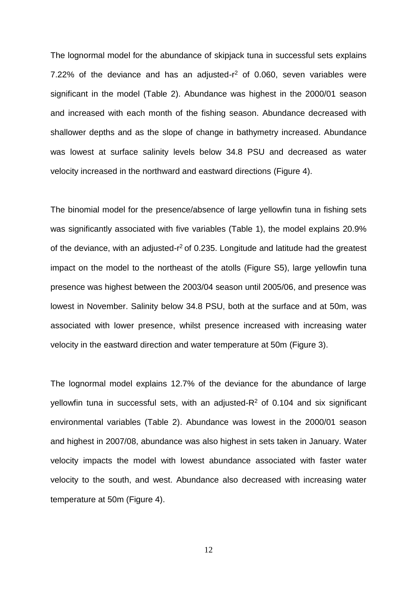The lognormal model for the abundance of skipjack tuna in successful sets explains 7.22% of the deviance and has an adjusted-r<sup>2</sup> of 0.060, seven variables were significant in the model (Table 2). Abundance was highest in the 2000/01 season and increased with each month of the fishing season. Abundance decreased with shallower depths and as the slope of change in bathymetry increased. Abundance was lowest at surface salinity levels below 34.8 PSU and decreased as water velocity increased in the northward and eastward directions (Figure 4).

The binomial model for the presence/absence of large yellowfin tuna in fishing sets was significantly associated with five variables (Table 1), the model explains 20.9% of the deviance, with an adjusted-r<sup>2</sup> of 0.235. Longitude and latitude had the greatest impact on the model to the northeast of the atolls (Figure S5), large yellowfin tuna presence was highest between the 2003/04 season until 2005/06, and presence was lowest in November. Salinity below 34.8 PSU, both at the surface and at 50m, was associated with lower presence, whilst presence increased with increasing water velocity in the eastward direction and water temperature at 50m (Figure 3).

The lognormal model explains 12.7% of the deviance for the abundance of large yellowfin tuna in successful sets, with an adjusted- $R<sup>2</sup>$  of 0.104 and six significant environmental variables (Table 2). Abundance was lowest in the 2000/01 season and highest in 2007/08, abundance was also highest in sets taken in January. Water velocity impacts the model with lowest abundance associated with faster water velocity to the south, and west. Abundance also decreased with increasing water temperature at 50m (Figure 4).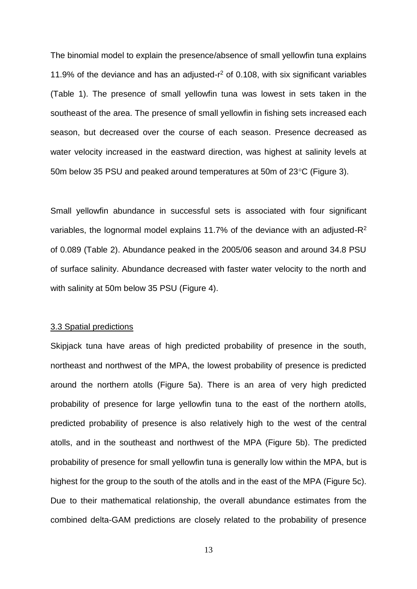The binomial model to explain the presence/absence of small yellowfin tuna explains 11.9% of the deviance and has an adjusted-r <sup>2</sup> of 0.108, with six significant variables (Table 1). The presence of small yellowfin tuna was lowest in sets taken in the southeast of the area. The presence of small yellowfin in fishing sets increased each season, but decreased over the course of each season. Presence decreased as water velocity increased in the eastward direction, was highest at salinity levels at 50m below 35 PSU and peaked around temperatures at 50m of  $23^{\circ}$ C (Figure 3).

Small yellowfin abundance in successful sets is associated with four significant variables, the lognormal model explains 11.7% of the deviance with an adjusted-R<sup>2</sup> of 0.089 (Table 2). Abundance peaked in the 2005/06 season and around 34.8 PSU of surface salinity. Abundance decreased with faster water velocity to the north and with salinity at 50m below 35 PSU (Figure 4).

## 3.3 Spatial predictions

Skipjack tuna have areas of high predicted probability of presence in the south, northeast and northwest of the MPA, the lowest probability of presence is predicted around the northern atolls (Figure 5a). There is an area of very high predicted probability of presence for large yellowfin tuna to the east of the northern atolls, predicted probability of presence is also relatively high to the west of the central atolls, and in the southeast and northwest of the MPA (Figure 5b). The predicted probability of presence for small yellowfin tuna is generally low within the MPA, but is highest for the group to the south of the atolls and in the east of the MPA (Figure 5c). Due to their mathematical relationship, the overall abundance estimates from the combined delta-GAM predictions are closely related to the probability of presence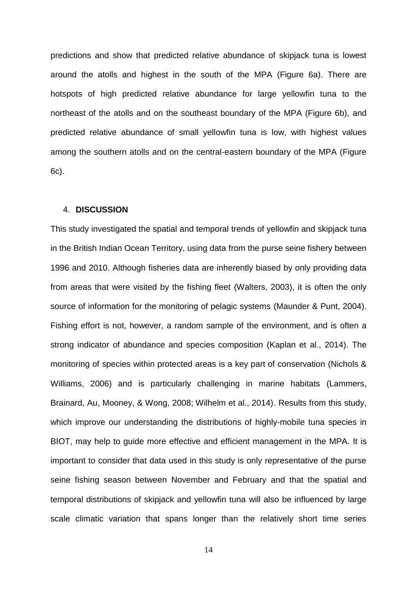predictions and show that predicted relative abundance of skipjack tuna is lowest around the atolls and highest in the south of the MPA (Figure 6a). There are hotspots of high predicted relative abundance for large yellowfin tuna to the northeast of the atolls and on the southeast boundary of the MPA (Figure 6b), and predicted relative abundance of small yellowfin tuna is low, with highest values among the southern atolls and on the central-eastern boundary of the MPA (Figure 6c).

## 4. **DISCUSSION**

This study investigated the spatial and temporal trends of yellowfin and skipjack tuna in the British Indian Ocean Territory, using data from the purse seine fishery between 1996 and 2010. Although fisheries data are inherently biased by only providing data from areas that were visited by the fishing fleet (Walters, 2003), it is often the only source of information for the monitoring of pelagic systems (Maunder & Punt, 2004). Fishing effort is not, however, a random sample of the environment, and is often a strong indicator of abundance and species composition (Kaplan et al., 2014). The monitoring of species within protected areas is a key part of conservation (Nichols & Williams, 2006) and is particularly challenging in marine habitats (Lammers, Brainard, Au, Mooney, & Wong, 2008; Wilhelm et al., 2014). Results from this study, which improve our understanding the distributions of highly-mobile tuna species in BIOT, may help to guide more effective and efficient management in the MPA. It is important to consider that data used in this study is only representative of the purse seine fishing season between November and February and that the spatial and temporal distributions of skipjack and yellowfin tuna will also be influenced by large scale climatic variation that spans longer than the relatively short time series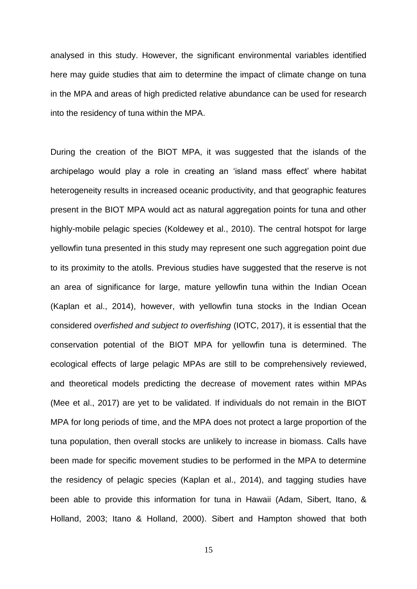analysed in this study. However, the significant environmental variables identified here may guide studies that aim to determine the impact of climate change on tuna in the MPA and areas of high predicted relative abundance can be used for research into the residency of tuna within the MPA.

During the creation of the BIOT MPA, it was suggested that the islands of the archipelago would play a role in creating an 'island mass effect' where habitat heterogeneity results in increased oceanic productivity, and that geographic features present in the BIOT MPA would act as natural aggregation points for tuna and other highly-mobile pelagic species (Koldewey et al., 2010). The central hotspot for large yellowfin tuna presented in this study may represent one such aggregation point due to its proximity to the atolls. Previous studies have suggested that the reserve is not an area of significance for large, mature yellowfin tuna within the Indian Ocean (Kaplan et al., 2014), however, with yellowfin tuna stocks in the Indian Ocean considered *overfished and subject to overfishing* (IOTC, 2017), it is essential that the conservation potential of the BIOT MPA for yellowfin tuna is determined. The ecological effects of large pelagic MPAs are still to be comprehensively reviewed, and theoretical models predicting the decrease of movement rates within MPAs (Mee et al., 2017) are yet to be validated. If individuals do not remain in the BIOT MPA for long periods of time, and the MPA does not protect a large proportion of the tuna population, then overall stocks are unlikely to increase in biomass. Calls have been made for specific movement studies to be performed in the MPA to determine the residency of pelagic species (Kaplan et al., 2014), and tagging studies have been able to provide this information for tuna in Hawaii (Adam, Sibert, Itano, & Holland, 2003; Itano & Holland, 2000). Sibert and Hampton showed that both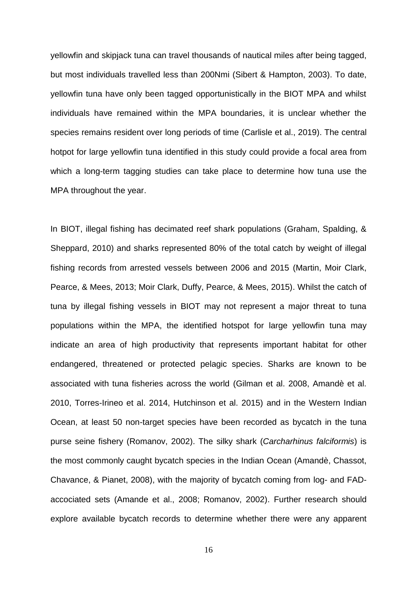yellowfin and skipjack tuna can travel thousands of nautical miles after being tagged, but most individuals travelled less than 200Nmi (Sibert & Hampton, 2003). To date, yellowfin tuna have only been tagged opportunistically in the BIOT MPA and whilst individuals have remained within the MPA boundaries, it is unclear whether the species remains resident over long periods of time (Carlisle et al., 2019). The central hotpot for large yellowfin tuna identified in this study could provide a focal area from which a long-term tagging studies can take place to determine how tuna use the MPA throughout the year.

In BIOT, illegal fishing has decimated reef shark populations (Graham, Spalding, & Sheppard, 2010) and sharks represented 80% of the total catch by weight of illegal fishing records from arrested vessels between 2006 and 2015 (Martin, Moir Clark, Pearce, & Mees, 2013; Moir Clark, Duffy, Pearce, & Mees, 2015). Whilst the catch of tuna by illegal fishing vessels in BIOT may not represent a major threat to tuna populations within the MPA, the identified hotspot for large yellowfin tuna may indicate an area of high productivity that represents important habitat for other endangered, threatened or protected pelagic species. Sharks are known to be associated with tuna fisheries across the world (Gilman et al. 2008, Amandè et al. 2010, Torres-Irineo et al. 2014, Hutchinson et al. 2015) and in the Western Indian Ocean, at least 50 non-target species have been recorded as bycatch in the tuna purse seine fishery (Romanov, 2002). The silky shark (*Carcharhinus falciformis*) is the most commonly caught bycatch species in the Indian Ocean (Amandè, Chassot, Chavance, & Pianet, 2008), with the majority of bycatch coming from log- and FADaccociated sets (Amande et al., 2008; Romanov, 2002). Further research should explore available bycatch records to determine whether there were any apparent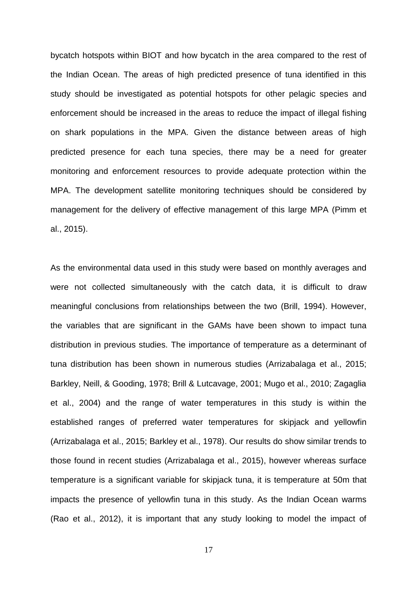bycatch hotspots within BIOT and how bycatch in the area compared to the rest of the Indian Ocean. The areas of high predicted presence of tuna identified in this study should be investigated as potential hotspots for other pelagic species and enforcement should be increased in the areas to reduce the impact of illegal fishing on shark populations in the MPA. Given the distance between areas of high predicted presence for each tuna species, there may be a need for greater monitoring and enforcement resources to provide adequate protection within the MPA. The development satellite monitoring techniques should be considered by management for the delivery of effective management of this large MPA (Pimm et al., 2015).

As the environmental data used in this study were based on monthly averages and were not collected simultaneously with the catch data, it is difficult to draw meaningful conclusions from relationships between the two (Brill, 1994). However, the variables that are significant in the GAMs have been shown to impact tuna distribution in previous studies. The importance of temperature as a determinant of tuna distribution has been shown in numerous studies (Arrizabalaga et al., 2015; Barkley, Neill, & Gooding, 1978; Brill & Lutcavage, 2001; Mugo et al., 2010; Zagaglia et al., 2004) and the range of water temperatures in this study is within the established ranges of preferred water temperatures for skipjack and yellowfin (Arrizabalaga et al., 2015; Barkley et al., 1978). Our results do show similar trends to those found in recent studies (Arrizabalaga et al., 2015), however whereas surface temperature is a significant variable for skipjack tuna, it is temperature at 50m that impacts the presence of yellowfin tuna in this study. As the Indian Ocean warms (Rao et al., 2012), it is important that any study looking to model the impact of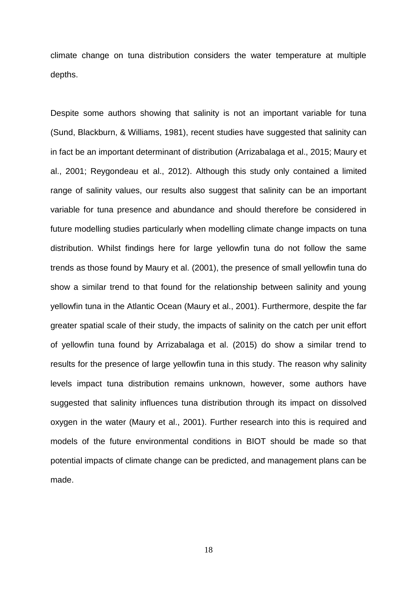climate change on tuna distribution considers the water temperature at multiple depths.

Despite some authors showing that salinity is not an important variable for tuna (Sund, Blackburn, & Williams, 1981), recent studies have suggested that salinity can in fact be an important determinant of distribution (Arrizabalaga et al., 2015; Maury et al., 2001; Reygondeau et al., 2012). Although this study only contained a limited range of salinity values, our results also suggest that salinity can be an important variable for tuna presence and abundance and should therefore be considered in future modelling studies particularly when modelling climate change impacts on tuna distribution. Whilst findings here for large yellowfin tuna do not follow the same trends as those found by Maury et al. (2001), the presence of small yellowfin tuna do show a similar trend to that found for the relationship between salinity and young yellowfin tuna in the Atlantic Ocean (Maury et al., 2001). Furthermore, despite the far greater spatial scale of their study, the impacts of salinity on the catch per unit effort of yellowfin tuna found by Arrizabalaga et al. (2015) do show a similar trend to results for the presence of large yellowfin tuna in this study. The reason why salinity levels impact tuna distribution remains unknown, however, some authors have suggested that salinity influences tuna distribution through its impact on dissolved oxygen in the water (Maury et al., 2001). Further research into this is required and models of the future environmental conditions in BIOT should be made so that potential impacts of climate change can be predicted, and management plans can be made.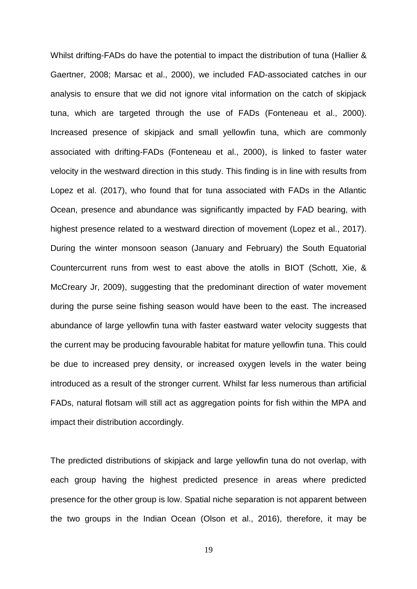Whilst drifting-FADs do have the potential to impact the distribution of tuna (Hallier & Gaertner, 2008; Marsac et al., 2000), we included FAD-associated catches in our analysis to ensure that we did not ignore vital information on the catch of skipjack tuna, which are targeted through the use of FADs (Fonteneau et al., 2000). Increased presence of skipjack and small yellowfin tuna, which are commonly associated with drifting-FADs (Fonteneau et al., 2000), is linked to faster water velocity in the westward direction in this study. This finding is in line with results from Lopez et al. (2017), who found that for tuna associated with FADs in the Atlantic Ocean, presence and abundance was significantly impacted by FAD bearing, with highest presence related to a westward direction of movement (Lopez et al., 2017). During the winter monsoon season (January and February) the South Equatorial Countercurrent runs from west to east above the atolls in BIOT (Schott, Xie, & McCreary Jr, 2009), suggesting that the predominant direction of water movement during the purse seine fishing season would have been to the east. The increased abundance of large yellowfin tuna with faster eastward water velocity suggests that the current may be producing favourable habitat for mature yellowfin tuna. This could be due to increased prey density, or increased oxygen levels in the water being introduced as a result of the stronger current. Whilst far less numerous than artificial FADs, natural flotsam will still act as aggregation points for fish within the MPA and impact their distribution accordingly.

The predicted distributions of skipjack and large yellowfin tuna do not overlap, with each group having the highest predicted presence in areas where predicted presence for the other group is low. Spatial niche separation is not apparent between the two groups in the Indian Ocean (Olson et al., 2016), therefore, it may be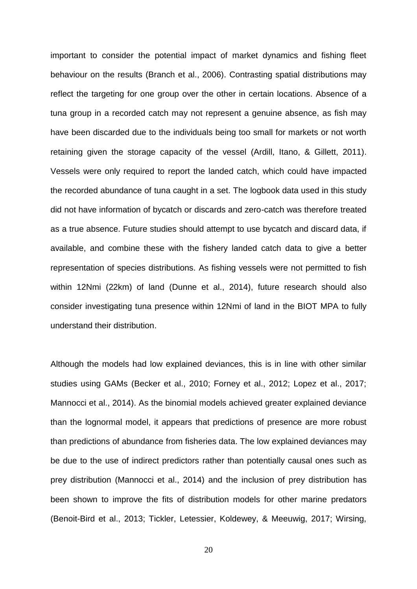important to consider the potential impact of market dynamics and fishing fleet behaviour on the results (Branch et al., 2006). Contrasting spatial distributions may reflect the targeting for one group over the other in certain locations. Absence of a tuna group in a recorded catch may not represent a genuine absence, as fish may have been discarded due to the individuals being too small for markets or not worth retaining given the storage capacity of the vessel (Ardill, Itano, & Gillett, 2011). Vessels were only required to report the landed catch, which could have impacted the recorded abundance of tuna caught in a set. The logbook data used in this study did not have information of bycatch or discards and zero-catch was therefore treated as a true absence. Future studies should attempt to use bycatch and discard data, if available, and combine these with the fishery landed catch data to give a better representation of species distributions. As fishing vessels were not permitted to fish within 12Nmi (22km) of land (Dunne et al., 2014), future research should also consider investigating tuna presence within 12Nmi of land in the BIOT MPA to fully understand their distribution.

Although the models had low explained deviances, this is in line with other similar studies using GAMs (Becker et al., 2010; Forney et al., 2012; Lopez et al., 2017; Mannocci et al., 2014). As the binomial models achieved greater explained deviance than the lognormal model, it appears that predictions of presence are more robust than predictions of abundance from fisheries data. The low explained deviances may be due to the use of indirect predictors rather than potentially causal ones such as prey distribution (Mannocci et al., 2014) and the inclusion of prey distribution has been shown to improve the fits of distribution models for other marine predators (Benoit-Bird et al., 2013; Tickler, Letessier, Koldewey, & Meeuwig, 2017; Wirsing,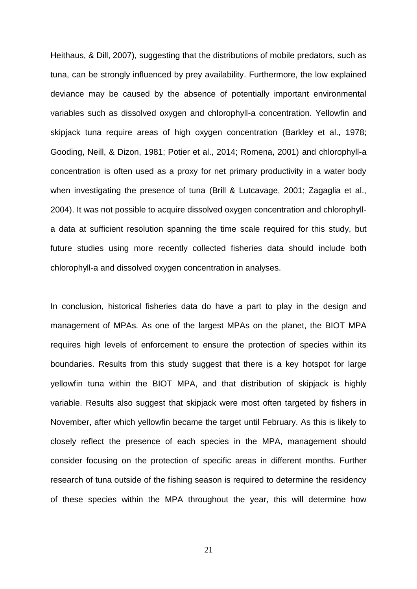Heithaus, & Dill, 2007), suggesting that the distributions of mobile predators, such as tuna, can be strongly influenced by prey availability. Furthermore, the low explained deviance may be caused by the absence of potentially important environmental variables such as dissolved oxygen and chlorophyll-a concentration. Yellowfin and skipjack tuna require areas of high oxygen concentration (Barkley et al., 1978; Gooding, Neill, & Dizon, 1981; Potier et al., 2014; Romena, 2001) and chlorophyll-a concentration is often used as a proxy for net primary productivity in a water body when investigating the presence of tuna (Brill & Lutcavage, 2001; Zagaglia et al., 2004). It was not possible to acquire dissolved oxygen concentration and chlorophylla data at sufficient resolution spanning the time scale required for this study, but future studies using more recently collected fisheries data should include both chlorophyll-a and dissolved oxygen concentration in analyses.

In conclusion, historical fisheries data do have a part to play in the design and management of MPAs. As one of the largest MPAs on the planet, the BIOT MPA requires high levels of enforcement to ensure the protection of species within its boundaries. Results from this study suggest that there is a key hotspot for large yellowfin tuna within the BIOT MPA, and that distribution of skipjack is highly variable. Results also suggest that skipjack were most often targeted by fishers in November, after which yellowfin became the target until February. As this is likely to closely reflect the presence of each species in the MPA, management should consider focusing on the protection of specific areas in different months. Further research of tuna outside of the fishing season is required to determine the residency of these species within the MPA throughout the year, this will determine how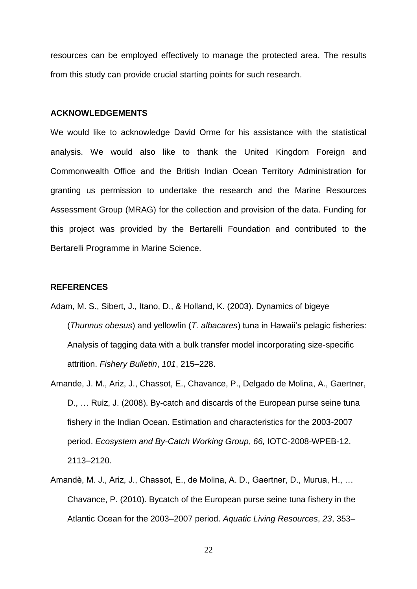resources can be employed effectively to manage the protected area. The results from this study can provide crucial starting points for such research.

#### **ACKNOWLEDGEMENTS**

We would like to acknowledge David Orme for his assistance with the statistical analysis. We would also like to thank the United Kingdom Foreign and Commonwealth Office and the British Indian Ocean Territory Administration for granting us permission to undertake the research and the Marine Resources Assessment Group (MRAG) for the collection and provision of the data. Funding for this project was provided by the Bertarelli Foundation and contributed to the Bertarelli Programme in Marine Science.

### **REFERENCES**

- Adam, M. S., Sibert, J., Itano, D., & Holland, K. (2003). Dynamics of bigeye (*Thunnus obesus*) and yellowfin (*T. albacares*) tuna in Hawaii's pelagic fisheries: Analysis of tagging data with a bulk transfer model incorporating size-specific attrition. *Fishery Bulletin*, *101*, 215–228.
- Amande, J. M., Ariz, J., Chassot, E., Chavance, P., Delgado de Molina, A., Gaertner, D., … Ruiz, J. (2008). By-catch and discards of the European purse seine tuna fishery in the Indian Ocean. Estimation and characteristics for the 2003-2007 period. *Ecosystem and By-Catch Working Group*, *66,* IOTC-2008-WPEB-12, 2113–2120.
- Amandè, M. J., Ariz, J., Chassot, E., de Molina, A. D., Gaertner, D., Murua, H., … Chavance, P. (2010). Bycatch of the European purse seine tuna fishery in the Atlantic Ocean for the 2003–2007 period. *Aquatic Living Resources*, *23*, 353–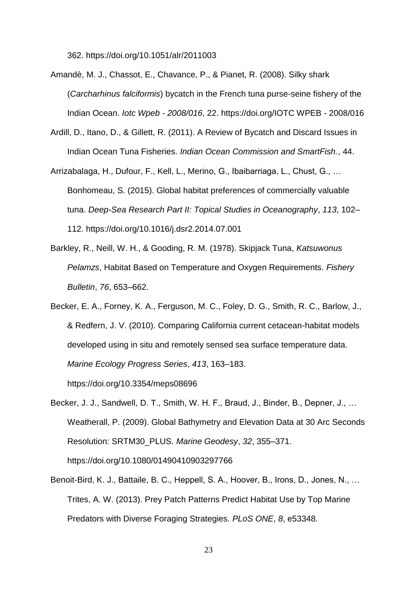362. https://doi.org/10.1051/alr/2011003

- Amandè, M. J., Chassot, E., Chavance, P., & Pianet, R. (2008). Silky shark (*Carcharhinus falciformis*) bycatch in the French tuna purse-seine fishery of the Indian Ocean. *Iotc Wpeb - 2008/016*, 22. https://doi.org/IOTC WPEB - 2008/016
- Ardill, D., Itano, D., & Gillett, R. (2011). A Review of Bycatch and Discard Issues in Indian Ocean Tuna Fisheries. *Indian Ocean Commission and SmartFish.*, 44.
- Arrizabalaga, H., Dufour, F., Kell, L., Merino, G., Ibaibarriaga, L., Chust, G., … Bonhomeau, S. (2015). Global habitat preferences of commercially valuable tuna. *Deep-Sea Research Part II: Topical Studies in Oceanography*, *113*, 102– 112. https://doi.org/10.1016/j.dsr2.2014.07.001
- Barkley, R., Neill, W. H., & Gooding, R. M. (1978). Skipjack Tuna, *Katsuwonus Pelamzs*, Habitat Based on Temperature and Oxygen Requirements. *Fishery Bulletin*, *76*, 653–662.
- Becker, E. A., Forney, K. A., Ferguson, M. C., Foley, D. G., Smith, R. C., Barlow, J., & Redfern, J. V. (2010). Comparing California current cetacean-habitat models developed using in situ and remotely sensed sea surface temperature data. *Marine Ecology Progress Series*, *413*, 163–183. https://doi.org/10.3354/meps08696
- Becker, J. J., Sandwell, D. T., Smith, W. H. F., Braud, J., Binder, B., Depner, J., … Weatherall, P. (2009). Global Bathymetry and Elevation Data at 30 Arc Seconds Resolution: SRTM30\_PLUS. *Marine Geodesy*, *32*, 355–371. https://doi.org/10.1080/01490410903297766
- Benoit-Bird, K. J., Battaile, B. C., Heppell, S. A., Hoover, B., Irons, D., Jones, N., … Trites, A. W. (2013). Prey Patch Patterns Predict Habitat Use by Top Marine Predators with Diverse Foraging Strategies. *PLoS ONE*, *8*, e53348.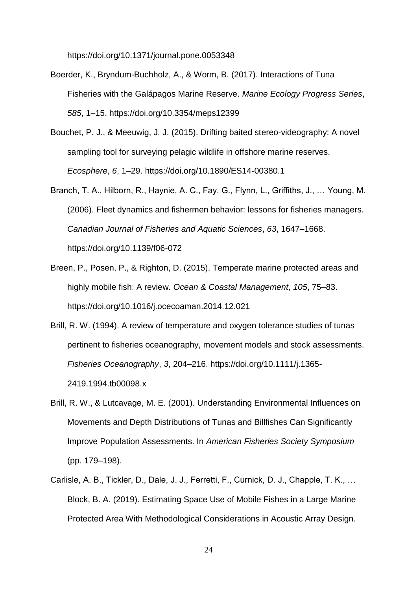https://doi.org/10.1371/journal.pone.0053348

- Boerder, K., Bryndum-Buchholz, A., & Worm, B. (2017). Interactions of Tuna Fisheries with the Galápagos Marine Reserve. *Marine Ecology Progress Series*, *585*, 1–15. https://doi.org/10.3354/meps12399
- Bouchet, P. J., & Meeuwig, J. J. (2015). Drifting baited stereo-videography: A novel sampling tool for surveying pelagic wildlife in offshore marine reserves. *Ecosphere*, *6*, 1–29. https://doi.org/10.1890/ES14-00380.1
- Branch, T. A., Hilborn, R., Haynie, A. C., Fay, G., Flynn, L., Griffiths, J., … Young, M. (2006). Fleet dynamics and fishermen behavior: lessons for fisheries managers. *Canadian Journal of Fisheries and Aquatic Sciences*, *63*, 1647–1668. https://doi.org/10.1139/f06-072
- Breen, P., Posen, P., & Righton, D. (2015). Temperate marine protected areas and highly mobile fish: A review. *Ocean & Coastal Management*, *105*, 75–83. https://doi.org/10.1016/j.ocecoaman.2014.12.021
- Brill, R. W. (1994). A review of temperature and oxygen tolerance studies of tunas pertinent to fisheries oceanography, movement models and stock assessments. *Fisheries Oceanography*, *3*, 204–216. https://doi.org/10.1111/j.1365- 2419.1994.tb00098.x
- Brill, R. W., & Lutcavage, M. E. (2001). Understanding Environmental Influences on Movements and Depth Distributions of Tunas and Billfishes Can Significantly Improve Population Assessments. In *American Fisheries Society Symposium* (pp. 179–198).
- Carlisle, A. B., Tickler, D., Dale, J. J., Ferretti, F., Curnick, D. J., Chapple, T. K., … Block, B. A. (2019). Estimating Space Use of Mobile Fishes in a Large Marine Protected Area With Methodological Considerations in Acoustic Array Design.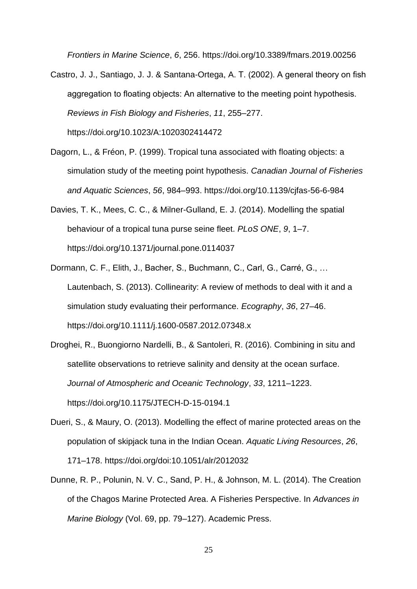*Frontiers in Marine Science*, *6*, 256. https://doi.org/10.3389/fmars.2019.00256

- Castro, J. J., Santiago, J. J. & Santana-Ortega, A. T. (2002). A general theory on fish aggregation to floating objects: An alternative to the meeting point hypothesis. *Reviews in Fish Biology and Fisheries*, *11*, 255–277. https://doi.org/10.1023/A:1020302414472
- Dagorn, L., & Fréon, P. (1999). Tropical tuna associated with floating objects: a simulation study of the meeting point hypothesis. *Canadian Journal of Fisheries and Aquatic Sciences*, *56*, 984–993. https://doi.org/10.1139/cjfas-56-6-984
- Davies, T. K., Mees, C. C., & Milner-Gulland, E. J. (2014). Modelling the spatial behaviour of a tropical tuna purse seine fleet. *PLoS ONE*, *9*, 1–7. https://doi.org/10.1371/journal.pone.0114037
- Dormann, C. F., Elith, J., Bacher, S., Buchmann, C., Carl, G., Carré, G., … Lautenbach, S. (2013). Collinearity: A review of methods to deal with it and a simulation study evaluating their performance. *Ecography*, *36*, 27–46. https://doi.org/10.1111/j.1600-0587.2012.07348.x
- Droghei, R., Buongiorno Nardelli, B., & Santoleri, R. (2016). Combining in situ and satellite observations to retrieve salinity and density at the ocean surface. *Journal of Atmospheric and Oceanic Technology*, *33*, 1211–1223. https://doi.org/10.1175/JTECH-D-15-0194.1
- Dueri, S., & Maury, O. (2013). Modelling the effect of marine protected areas on the population of skipjack tuna in the Indian Ocean. *Aquatic Living Resources*, *26*, 171–178. https://doi.org/doi:10.1051/alr/2012032
- Dunne, R. P., Polunin, N. V. C., Sand, P. H., & Johnson, M. L. (2014). The Creation of the Chagos Marine Protected Area. A Fisheries Perspective. In *Advances in Marine Biology* (Vol. 69, pp. 79–127). Academic Press.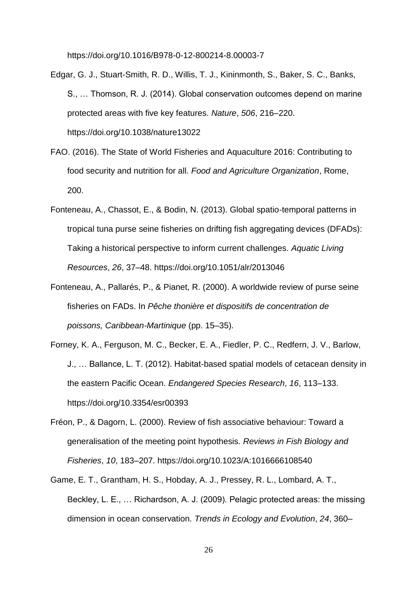https://doi.org/10.1016/B978-0-12-800214-8.00003-7

- Edgar, G. J., Stuart-Smith, R. D., Willis, T. J., Kininmonth, S., Baker, S. C., Banks, S., … Thomson, R. J. (2014). Global conservation outcomes depend on marine protected areas with five key features. *Nature*, *506*, 216–220. https://doi.org/10.1038/nature13022
- FAO. (2016). The State of World Fisheries and Aquaculture 2016: Contributing to food security and nutrition for all. *Food and Agriculture Organization*, Rome, 200.
- Fonteneau, A., Chassot, E., & Bodin, N. (2013). Global spatio-temporal patterns in tropical tuna purse seine fisheries on drifting fish aggregating devices (DFADs): Taking a historical perspective to inform current challenges. *Aquatic Living Resources*, *26*, 37–48. https://doi.org/10.1051/alr/2013046
- Fonteneau, A., Pallarés, P., & Pianet, R. (2000). A worldwide review of purse seine fisheries on FADs. In *Pêche thonière et dispositifs de concentration de poissons, Caribbean-Martinique* (pp. 15–35).
- Forney, K. A., Ferguson, M. C., Becker, E. A., Fiedler, P. C., Redfern, J. V., Barlow, J., … Ballance, L. T. (2012). Habitat-based spatial models of cetacean density in the eastern Pacific Ocean. *Endangered Species Research*, *16*, 113–133. https://doi.org/10.3354/esr00393
- Fréon, P., & Dagorn, L. (2000). Review of fish associative behaviour: Toward a generalisation of the meeting point hypothesis. *Reviews in Fish Biology and Fisheries*, *10*, 183–207. https://doi.org/10.1023/A:1016666108540
- Game, E. T., Grantham, H. S., Hobday, A. J., Pressey, R. L., Lombard, A. T., Beckley, L. E., … Richardson, A. J. (2009). Pelagic protected areas: the missing dimension in ocean conservation. *Trends in Ecology and Evolution*, *24*, 360–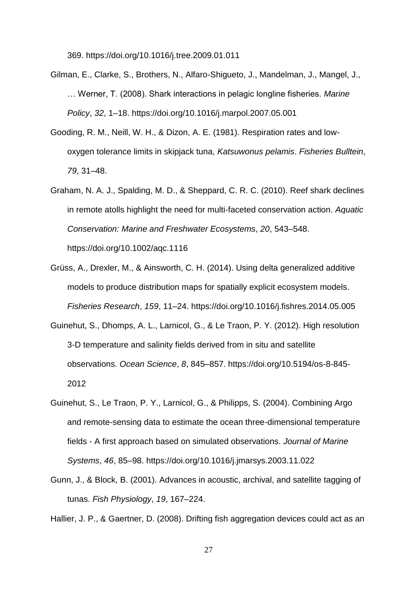369. https://doi.org/10.1016/j.tree.2009.01.011

- Gilman, E., Clarke, S., Brothers, N., Alfaro-Shigueto, J., Mandelman, J., Mangel, J., … Werner, T. (2008). Shark interactions in pelagic longline fisheries. *Marine Policy*, *32*, 1–18. https://doi.org/10.1016/j.marpol.2007.05.001
- Gooding, R. M., Neill, W. H., & Dizon, A. E. (1981). Respiration rates and lowoxygen tolerance limits in skipjack tuna, *Katsuwonus pelamis*. *Fisheries Bulltein*, *79*, 31–48.
- Graham, N. A. J., Spalding, M. D., & Sheppard, C. R. C. (2010). Reef shark declines in remote atolls highlight the need for multi-faceted conservation action. *Aquatic Conservation: Marine and Freshwater Ecosystems*, *20*, 543–548. https://doi.org/10.1002/aqc.1116
- Grüss, A., Drexler, M., & Ainsworth, C. H. (2014). Using delta generalized additive models to produce distribution maps for spatially explicit ecosystem models. *Fisheries Research*, *159*, 11–24. https://doi.org/10.1016/j.fishres.2014.05.005
- Guinehut, S., Dhomps, A. L., Larnicol, G., & Le Traon, P. Y. (2012). High resolution 3-D temperature and salinity fields derived from in situ and satellite observations. *Ocean Science*, *8*, 845–857. https://doi.org/10.5194/os-8-845- 2012
- Guinehut, S., Le Traon, P. Y., Larnicol, G., & Philipps, S. (2004). Combining Argo and remote-sensing data to estimate the ocean three-dimensional temperature fields - A first approach based on simulated observations. *Journal of Marine Systems*, *46*, 85–98. https://doi.org/10.1016/j.jmarsys.2003.11.022
- Gunn, J., & Block, B. (2001). Advances in acoustic, archival, and satellite tagging of tunas. *Fish Physiology*, *19*, 167–224.

Hallier, J. P., & Gaertner, D. (2008). Drifting fish aggregation devices could act as an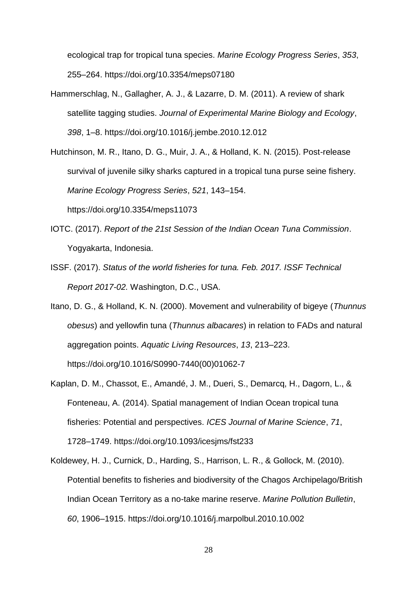ecological trap for tropical tuna species. *Marine Ecology Progress Series*, *353*, 255–264. https://doi.org/10.3354/meps07180

- Hammerschlag, N., Gallagher, A. J., & Lazarre, D. M. (2011). A review of shark satellite tagging studies. *Journal of Experimental Marine Biology and Ecology*, *398*, 1–8. https://doi.org/10.1016/j.jembe.2010.12.012
- Hutchinson, M. R., Itano, D. G., Muir, J. A., & Holland, K. N. (2015). Post-release survival of juvenile silky sharks captured in a tropical tuna purse seine fishery. *Marine Ecology Progress Series*, *521*, 143–154.

https://doi.org/10.3354/meps11073

- IOTC. (2017). *Report of the 21st Session of the Indian Ocean Tuna Commission*. Yogyakarta, Indonesia.
- ISSF. (2017). *Status of the world fisheries for tuna. Feb. 2017. ISSF Technical Report 2017-02.* Washington, D.C., USA.
- Itano, D. G., & Holland, K. N. (2000). Movement and vulnerability of bigeye (*Thunnus obesus*) and yellowfin tuna (*Thunnus albacares*) in relation to FADs and natural aggregation points. *Aquatic Living Resources*, *13*, 213–223. https://doi.org/10.1016/S0990-7440(00)01062-7
- Kaplan, D. M., Chassot, E., Amandé, J. M., Dueri, S., Demarcq, H., Dagorn, L., & Fonteneau, A. (2014). Spatial management of Indian Ocean tropical tuna fisheries: Potential and perspectives. *ICES Journal of Marine Science*, *71*, 1728–1749. https://doi.org/10.1093/icesjms/fst233
- Koldewey, H. J., Curnick, D., Harding, S., Harrison, L. R., & Gollock, M. (2010). Potential benefits to fisheries and biodiversity of the Chagos Archipelago/British Indian Ocean Territory as a no-take marine reserve. *Marine Pollution Bulletin*, *60*, 1906–1915. https://doi.org/10.1016/j.marpolbul.2010.10.002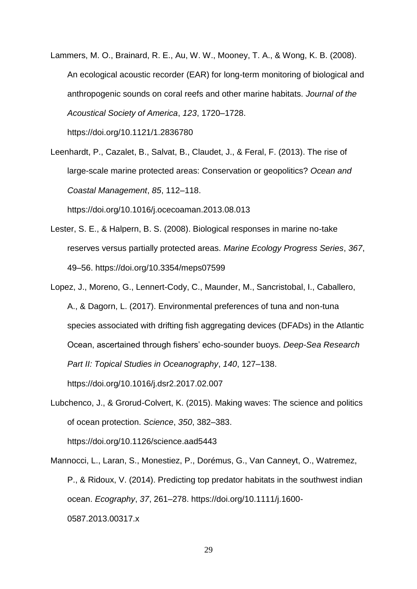Lammers, M. O., Brainard, R. E., Au, W. W., Mooney, T. A., & Wong, K. B. (2008). An ecological acoustic recorder (EAR) for long-term monitoring of biological and anthropogenic sounds on coral reefs and other marine habitats. *Journal of the Acoustical Society of America*, *123*, 1720–1728.

https://doi.org/10.1121/1.2836780

Leenhardt, P., Cazalet, B., Salvat, B., Claudet, J., & Feral, F. (2013). The rise of large-scale marine protected areas: Conservation or geopolitics? *Ocean and Coastal Management*, *85*, 112–118.

https://doi.org/10.1016/j.ocecoaman.2013.08.013

- Lester, S. E., & Halpern, B. S. (2008). Biological responses in marine no-take reserves versus partially protected areas. *Marine Ecology Progress Series*, *367*, 49–56. https://doi.org/10.3354/meps07599
- Lopez, J., Moreno, G., Lennert-Cody, C., Maunder, M., Sancristobal, I., Caballero, A., & Dagorn, L. (2017). Environmental preferences of tuna and non-tuna species associated with drifting fish aggregating devices (DFADs) in the Atlantic Ocean, ascertained through fishers' echo-sounder buoys. *Deep-Sea Research Part II: Topical Studies in Oceanography*, *140*, 127–138. https://doi.org/10.1016/j.dsr2.2017.02.007
- Lubchenco, J., & Grorud-Colvert, K. (2015). Making waves: The science and politics of ocean protection. *Science*, *350*, 382–383.

https://doi.org/10.1126/science.aad5443

Mannocci, L., Laran, S., Monestiez, P., Dorémus, G., Van Canneyt, O., Watremez, P., & Ridoux, V. (2014). Predicting top predator habitats in the southwest indian ocean. *Ecography*, *37*, 261–278. https://doi.org/10.1111/j.1600- 0587.2013.00317.x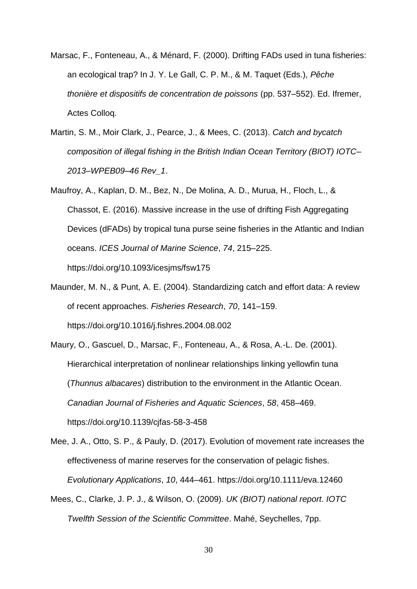- Marsac, F., Fonteneau, A., & Ménard, F. (2000). Drifting FADs used in tuna fisheries: an ecological trap? In J. Y. Le Gall, C. P. M., & M. Taquet (Eds.), *Pêche thonière et dispositifs de concentration de poissons* (pp. 537–552). Ed. Ifremer, Actes Colloq.
- Martin, S. M., Moir Clark, J., Pearce, J., & Mees, C. (2013). *Catch and bycatch composition of illegal fishing in the British Indian Ocean Territory (BIOT) IOTC– 2013–WPEB09–46 Rev\_1*.
- Maufroy, A., Kaplan, D. M., Bez, N., De Molina, A. D., Murua, H., Floch, L., & Chassot, E. (2016). Massive increase in the use of drifting Fish Aggregating Devices (dFADs) by tropical tuna purse seine fisheries in the Atlantic and Indian oceans. *ICES Journal of Marine Science*, *74*, 215–225. https://doi.org/10.1093/icesjms/fsw175
- Maunder, M. N., & Punt, A. E. (2004). Standardizing catch and effort data: A review of recent approaches. *Fisheries Research*, *70*, 141–159. https://doi.org/10.1016/j.fishres.2004.08.002
- Maury, O., Gascuel, D., Marsac, F., Fonteneau, A., & Rosa, A.-L. De. (2001). Hierarchical interpretation of nonlinear relationships linking yellowfin tuna (*Thunnus albacares*) distribution to the environment in the Atlantic Ocean. *Canadian Journal of Fisheries and Aquatic Sciences*, *58*, 458–469. https://doi.org/10.1139/cjfas-58-3-458
- Mee, J. A., Otto, S. P., & Pauly, D. (2017). Evolution of movement rate increases the effectiveness of marine reserves for the conservation of pelagic fishes. *Evolutionary Applications*, *10*, 444–461. https://doi.org/10.1111/eva.12460
- Mees, C., Clarke, J. P. J., & Wilson, O. (2009). *UK (BIOT) national report*. *IOTC Twelfth Session of the Scientific Committee*. Mahé, Seychelles, 7pp.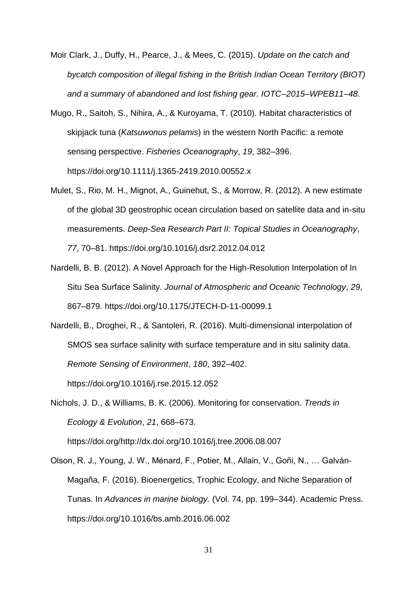- Moir Clark, J., Duffy, H., Pearce, J., & Mees, C. (2015). *Update on the catch and bycatch composition of illegal fishing in the British Indian Ocean Territory (BIOT) and a summary of abandoned and lost fishing gear. IOTC–2015–WPEB11–48*.
- Mugo, R., Saitoh, S., Nihira, A., & Kuroyama, T. (2010). Habitat characteristics of skipjack tuna (*Katsuwonus pelamis*) in the western North Pacific: a remote sensing perspective. *Fisheries Oceanography*, *19*, 382–396. https://doi.org/10.1111/j.1365-2419.2010.00552.x
- Mulet, S., Rio, M. H., Mignot, A., Guinehut, S., & Morrow, R. (2012). A new estimate of the global 3D geostrophic ocean circulation based on satellite data and in-situ measurements. *Deep-Sea Research Part II: Topical Studies in Oceanography*, *77*, 70–81. https://doi.org/10.1016/j.dsr2.2012.04.012
- Nardelli, B. B. (2012). A Novel Approach for the High-Resolution Interpolation of In Situ Sea Surface Salinity. *Journal of Atmospheric and Oceanic Technology*, *29*, 867–879. https://doi.org/10.1175/JTECH-D-11-00099.1
- Nardelli, B., Droghei, R., & Santoleri, R. (2016). Multi-dimensional interpolation of SMOS sea surface salinity with surface temperature and in situ salinity data. *Remote Sensing of Environment*, *180*, 392–402. https://doi.org/10.1016/j.rse.2015.12.052
- Nichols, J. D., & Williams, B. K. (2006). Monitoring for conservation. *Trends in Ecology & Evolution*, *21*, 668–673.

https://doi.org/http://dx.doi.org/10.1016/j.tree.2006.08.007

Olson, R. J., Young, J. W., Ménard, F., Potier, M., Allain, V., Goñi, N., … Galván-Magaña, F. (2016). Bioenergetics, Trophic Ecology, and Niche Separation of Tunas. In *Advances in marine biology.* (Vol. 74, pp. 199–344). Academic Press. https://doi.org/10.1016/bs.amb.2016.06.002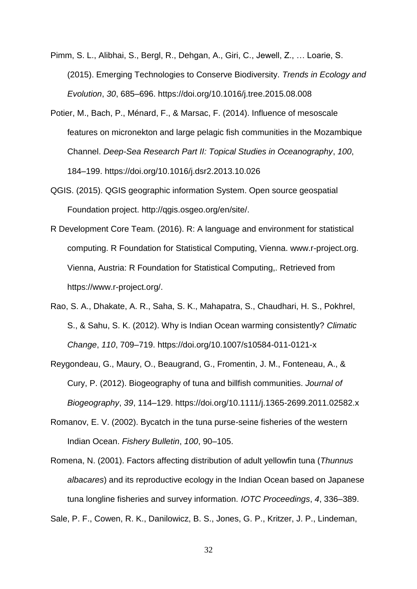- Pimm, S. L., Alibhai, S., Bergl, R., Dehgan, A., Giri, C., Jewell, Z., … Loarie, S. (2015). Emerging Technologies to Conserve Biodiversity. *Trends in Ecology and Evolution*, *30*, 685–696. https://doi.org/10.1016/j.tree.2015.08.008
- Potier, M., Bach, P., Ménard, F., & Marsac, F. (2014). Influence of mesoscale features on micronekton and large pelagic fish communities in the Mozambique Channel. *Deep-Sea Research Part II: Topical Studies in Oceanography*, *100*, 184–199. https://doi.org/10.1016/j.dsr2.2013.10.026
- QGIS. (2015). QGIS geographic information System. Open source geospatial Foundation project. http://qgis.osgeo.org/en/site/.
- R Development Core Team. (2016). R: A language and environment for statistical computing. R Foundation for Statistical Computing, Vienna. www.r-project.org. Vienna, Austria: R Foundation for Statistical Computing,. Retrieved from https://www.r-project.org/.
- Rao, S. A., Dhakate, A. R., Saha, S. K., Mahapatra, S., Chaudhari, H. S., Pokhrel, S., & Sahu, S. K. (2012). Why is Indian Ocean warming consistently? *Climatic Change*, *110*, 709–719. https://doi.org/10.1007/s10584-011-0121-x
- Reygondeau, G., Maury, O., Beaugrand, G., Fromentin, J. M., Fonteneau, A., & Cury, P. (2012). Biogeography of tuna and billfish communities. *Journal of Biogeography*, *39*, 114–129. https://doi.org/10.1111/j.1365-2699.2011.02582.x
- Romanov, E. V. (2002). Bycatch in the tuna purse-seine fisheries of the western Indian Ocean. *Fishery Bulletin*, *100*, 90–105.
- Romena, N. (2001). Factors affecting distribution of adult yellowfin tuna (*Thunnus albacares*) and its reproductive ecology in the Indian Ocean based on Japanese tuna longline fisheries and survey information. *IOTC Proceedings*, *4*, 336–389.

Sale, P. F., Cowen, R. K., Danilowicz, B. S., Jones, G. P., Kritzer, J. P., Lindeman,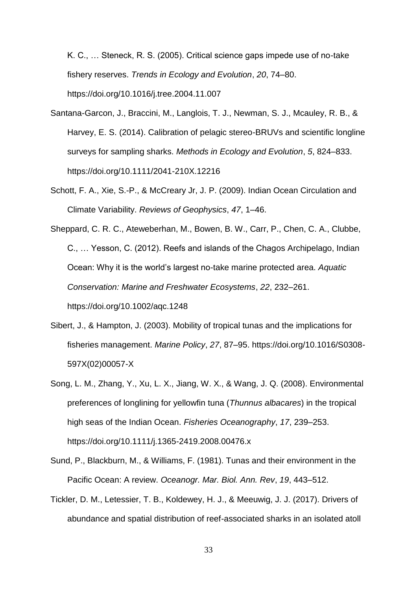K. C., … Steneck, R. S. (2005). Critical science gaps impede use of no-take fishery reserves. *Trends in Ecology and Evolution*, *20*, 74–80. https://doi.org/10.1016/j.tree.2004.11.007

- Santana-Garcon, J., Braccini, M., Langlois, T. J., Newman, S. J., Mcauley, R. B., & Harvey, E. S. (2014). Calibration of pelagic stereo-BRUVs and scientific longline surveys for sampling sharks. *Methods in Ecology and Evolution*, *5*, 824–833. https://doi.org/10.1111/2041-210X.12216
- Schott, F. A., Xie, S.-P., & McCreary Jr, J. P. (2009). Indian Ocean Circulation and Climate Variability. *Reviews of Geophysics*, *47*, 1–46.
- Sheppard, C. R. C., Ateweberhan, M., Bowen, B. W., Carr, P., Chen, C. A., Clubbe, C., … Yesson, C. (2012). Reefs and islands of the Chagos Archipelago, Indian Ocean: Why it is the world's largest no-take marine protected area. *Aquatic Conservation: Marine and Freshwater Ecosystems*, *22*, 232–261. https://doi.org/10.1002/aqc.1248
- Sibert, J., & Hampton, J. (2003). Mobility of tropical tunas and the implications for fisheries management. *Marine Policy*, *27*, 87–95. https://doi.org/10.1016/S0308- 597X(02)00057-X
- Song, L. M., Zhang, Y., Xu, L. X., Jiang, W. X., & Wang, J. Q. (2008). Environmental preferences of longlining for yellowfin tuna (*Thunnus albacares*) in the tropical high seas of the Indian Ocean. *Fisheries Oceanography*, *17*, 239–253. https://doi.org/10.1111/j.1365-2419.2008.00476.x
- Sund, P., Blackburn, M., & Williams, F. (1981). Tunas and their environment in the Pacific Ocean: A review. *Oceanogr. Mar. Biol. Ann. Rev*, *19*, 443–512.
- Tickler, D. M., Letessier, T. B., Koldewey, H. J., & Meeuwig, J. J. (2017). Drivers of abundance and spatial distribution of reef-associated sharks in an isolated atoll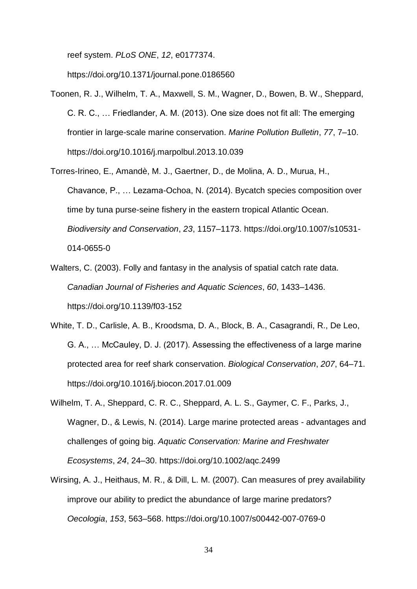reef system. *PLoS ONE*, *12*, e0177374.

https://doi.org/10.1371/journal.pone.0186560

- Toonen, R. J., Wilhelm, T. A., Maxwell, S. M., Wagner, D., Bowen, B. W., Sheppard, C. R. C., … Friedlander, A. M. (2013). One size does not fit all: The emerging frontier in large-scale marine conservation. *Marine Pollution Bulletin*, *77*, 7–10. https://doi.org/10.1016/j.marpolbul.2013.10.039
- Torres-Irineo, E., Amandè, M. J., Gaertner, D., de Molina, A. D., Murua, H., Chavance, P., … Lezama-Ochoa, N. (2014). Bycatch species composition over time by tuna purse-seine fishery in the eastern tropical Atlantic Ocean. *Biodiversity and Conservation*, *23*, 1157–1173. https://doi.org/10.1007/s10531- 014-0655-0
- Walters, C. (2003). Folly and fantasy in the analysis of spatial catch rate data. *Canadian Journal of Fisheries and Aquatic Sciences*, *60*, 1433–1436. https://doi.org/10.1139/f03-152
- White, T. D., Carlisle, A. B., Kroodsma, D. A., Block, B. A., Casagrandi, R., De Leo, G. A., … McCauley, D. J. (2017). Assessing the effectiveness of a large marine protected area for reef shark conservation. *Biological Conservation*, *207*, 64–71. https://doi.org/10.1016/j.biocon.2017.01.009
- Wilhelm, T. A., Sheppard, C. R. C., Sheppard, A. L. S., Gaymer, C. F., Parks, J., Wagner, D., & Lewis, N. (2014). Large marine protected areas - advantages and challenges of going big. *Aquatic Conservation: Marine and Freshwater Ecosystems*, *24*, 24–30. https://doi.org/10.1002/aqc.2499
- Wirsing, A. J., Heithaus, M. R., & Dill, L. M. (2007). Can measures of prey availability improve our ability to predict the abundance of large marine predators? *Oecologia*, *153*, 563–568. https://doi.org/10.1007/s00442-007-0769-0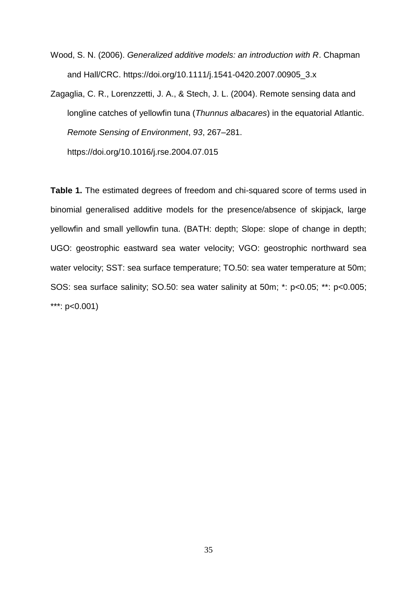- Wood, S. N. (2006). *Generalized additive models: an introduction with R*. Chapman and Hall/CRC. https://doi.org/10.1111/j.1541-0420.2007.00905\_3.x
- Zagaglia, C. R., Lorenzzetti, J. A., & Stech, J. L. (2004). Remote sensing data and longline catches of yellowfin tuna (*Thunnus albacares*) in the equatorial Atlantic. *Remote Sensing of Environment*, *93*, 267–281. https://doi.org/10.1016/j.rse.2004.07.015

**Table 1.** The estimated degrees of freedom and chi-squared score of terms used in binomial generalised additive models for the presence/absence of skipjack, large yellowfin and small yellowfin tuna. (BATH: depth; Slope: slope of change in depth; UGO: geostrophic eastward sea water velocity; VGO: geostrophic northward sea water velocity; SST: sea surface temperature; TO.50: sea water temperature at 50m; SOS: sea surface salinity; SO.50: sea water salinity at 50m; \*: p<0.05; \*\*: p<0.005; \*\*\*: p<0.001)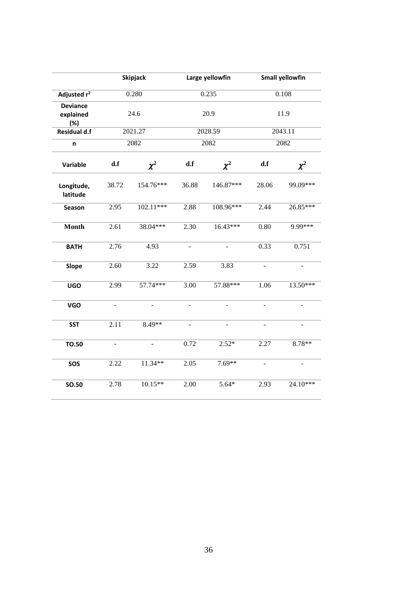|                                     | <b>Skipjack</b> |               | Large yellowfin          |           | <b>Small yellowfin</b> |                |
|-------------------------------------|-----------------|---------------|--------------------------|-----------|------------------------|----------------|
| Adjusted r <sup>2</sup>             | 0.280           |               | 0.235                    |           | 0.108                  |                |
| <b>Deviance</b><br>explained<br>(%) | 24.6            |               | 20.9                     |           | 11.9                   |                |
| <b>Residual d.f</b>                 | 2021.27         |               | 2028.59                  |           | 2043.11                |                |
| n                                   | 2082            |               | 2082                     |           | 2082                   |                |
| Variable                            | d.f             | $\chi^2$      | d.f                      | $\chi^2$  | d.f                    | $\chi^2$       |
| Longitude,<br>latitude              | 38.72           | 154.76***     | 36.88                    | 146.87*** | 28.06                  | 99.09***       |
| Season                              | 2.95            | 102.11***     | 2.88                     | 108.96*** | 2.44                   | 26.85***       |
| <b>Month</b>                        | 2.61            | 38.04***      | 2.30                     | 16.43***  | 0.80                   | 9.99***        |
| <b>BATH</b>                         | 2.76            | 4.93          | $\equiv$                 |           | 0.33                   | 0.751          |
| <b>Slope</b>                        | 2.60            | 3.22          | 2.59                     | 3.83      | $\blacksquare$         | $\blacksquare$ |
| <b>UGO</b>                          | 2.99            | 57.74***      | 3.00                     | 57.88***  | 1.06                   | 13.50***       |
| <b>VGO</b>                          |                 |               | $\overline{a}$           |           | ÷,                     |                |
| <b>SST</b>                          | 2.11            | 8.49**        | $\overline{\phantom{m}}$ |           | ÷,                     |                |
| <b>TO.50</b>                        | $\blacksquare$  | $\frac{1}{2}$ | 0.72                     | $2.52*$   | 2.27                   | 8.78**         |
| SOS                                 | 2.22            | 11.34**       | 2.05                     | $7.69**$  | L.                     |                |
| <b>SO.50</b>                        | 2.78            | $10.15**$     | 2.00                     | $5.64*$   | 2.93                   | 24.10***       |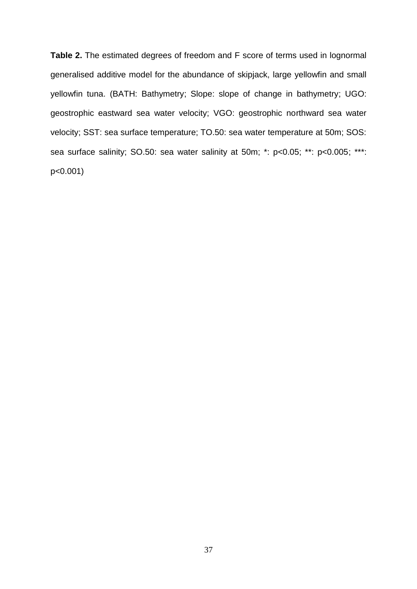**Table 2.** The estimated degrees of freedom and F score of terms used in lognormal generalised additive model for the abundance of skipjack, large yellowfin and small yellowfin tuna. (BATH: Bathymetry; Slope: slope of change in bathymetry; UGO: geostrophic eastward sea water velocity; VGO: geostrophic northward sea water velocity; SST: sea surface temperature; TO.50: sea water temperature at 50m; SOS: sea surface salinity; SO.50: sea water salinity at 50m; \*: p<0.05; \*\*\*: p<0.005; \*\*\*: p<0.001)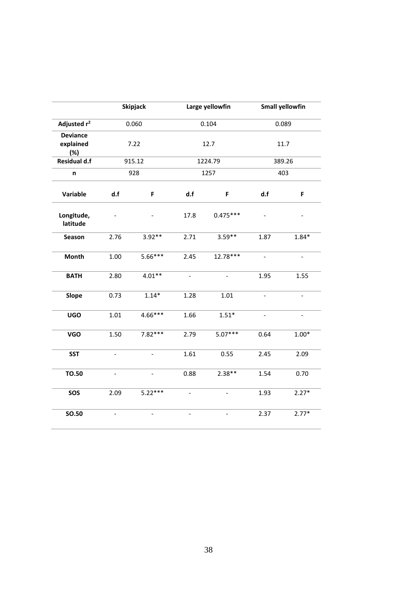|                                     | <b>Skipjack</b>          |                          | Large yellowfin          |                | <b>Small yellowfin</b>   |                          |
|-------------------------------------|--------------------------|--------------------------|--------------------------|----------------|--------------------------|--------------------------|
| Adjusted r <sup>2</sup>             | 0.060                    |                          | 0.104                    |                | 0.089                    |                          |
| <b>Deviance</b><br>explained<br>(%) | 7.22                     |                          | 12.7                     |                | 11.7                     |                          |
| Residual d.f                        | 915.12                   |                          | 1224.79                  |                | 389.26                   |                          |
| n                                   | 928                      |                          | 1257                     |                | 403                      |                          |
| Variable                            | d.f                      | F                        | d.f                      | F              | d.f                      | F                        |
| Longitude,<br>latitude              |                          |                          | 17.8                     | $0.475***$     |                          |                          |
| Season                              | 2.76                     | $3.92**$                 | 2.71                     | $3.59**$       | 1.87                     | $1.84*$                  |
| Month                               | 1.00                     | 5.66***                  | 2.45                     | 12.78***       | $\overline{\phantom{a}}$ | $\overline{\phantom{a}}$ |
| <b>BATH</b>                         | 2.80                     | $4.01**$                 | $\overline{\phantom{a}}$ | $\blacksquare$ | 1.95                     | 1.55                     |
| Slope                               | 0.73                     | $1.14*$                  | 1.28                     | 1.01           | $\overline{\phantom{0}}$ | $\overline{a}$           |
| <b>UGO</b>                          | 1.01                     | 4.66***                  | 1.66                     | $1.51*$        | $\overline{\phantom{a}}$ | $\overline{\phantom{a}}$ |
| <b>VGO</b>                          | 1.50                     | $7.82***$                | 2.79                     | $5.07***$      | 0.64                     | $1.00*$                  |
| <b>SST</b>                          | $\overline{\phantom{a}}$ | $\overline{\phantom{a}}$ | 1.61                     | 0.55           | 2.45                     | 2.09                     |
| <b>TO.50</b>                        |                          |                          | 0.88                     | $2.38**$       | 1.54                     | 0.70                     |
| SOS                                 | 2.09                     | $5.22***$                | $\blacksquare$           | $\frac{1}{2}$  | 1.93                     | $2.27*$                  |
| <b>SO.50</b>                        | $\overline{\phantom{a}}$ | $\overline{a}$           | $\overline{\phantom{0}}$ |                | 2.37                     | $2.77*$                  |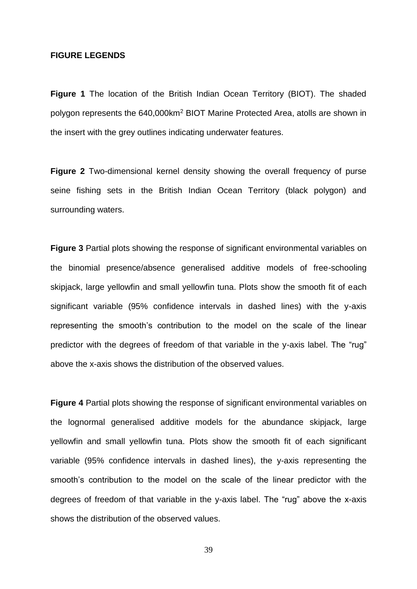#### **FIGURE LEGENDS**

**Figure 1** The location of the British Indian Ocean Territory (BIOT). The shaded polygon represents the 640,000km<sup>2</sup> BIOT Marine Protected Area, atolls are shown in the insert with the grey outlines indicating underwater features.

**Figure 2** Two-dimensional kernel density showing the overall frequency of purse seine fishing sets in the British Indian Ocean Territory (black polygon) and surrounding waters.

**Figure 3** Partial plots showing the response of significant environmental variables on the binomial presence/absence generalised additive models of free-schooling skipjack, large yellowfin and small yellowfin tuna. Plots show the smooth fit of each significant variable (95% confidence intervals in dashed lines) with the y-axis representing the smooth's contribution to the model on the scale of the linear predictor with the degrees of freedom of that variable in the y-axis label. The "rug" above the x-axis shows the distribution of the observed values.

**Figure 4** Partial plots showing the response of significant environmental variables on the lognormal generalised additive models for the abundance skipjack, large yellowfin and small yellowfin tuna. Plots show the smooth fit of each significant variable (95% confidence intervals in dashed lines), the y-axis representing the smooth's contribution to the model on the scale of the linear predictor with the degrees of freedom of that variable in the y-axis label. The "rug" above the x-axis shows the distribution of the observed values.